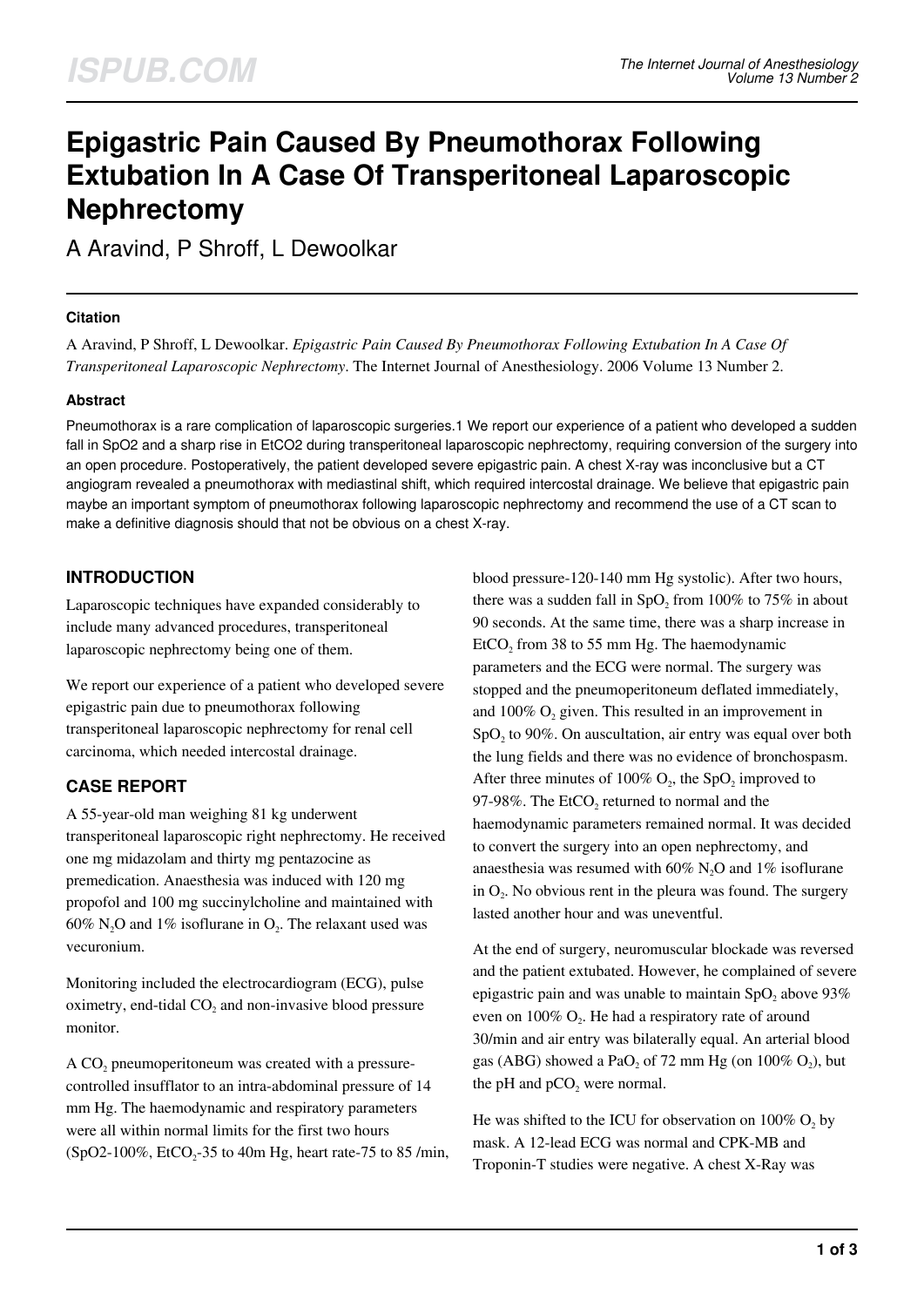# **Epigastric Pain Caused By Pneumothorax Following Extubation In A Case Of Transperitoneal Laparoscopic Nephrectomy**

A Aravind, P Shroff, L Dewoolkar

## **Citation**

A Aravind, P Shroff, L Dewoolkar. *Epigastric Pain Caused By Pneumothorax Following Extubation In A Case Of Transperitoneal Laparoscopic Nephrectomy*. The Internet Journal of Anesthesiology. 2006 Volume 13 Number 2.

## **Abstract**

Pneumothorax is a rare complication of laparoscopic surgeries.1 We report our experience of a patient who developed a sudden fall in SpO2 and a sharp rise in EtCO2 during transperitoneal laparoscopic nephrectomy, requiring conversion of the surgery into an open procedure. Postoperatively, the patient developed severe epigastric pain. A chest X-ray was inconclusive but a CT angiogram revealed a pneumothorax with mediastinal shift, which required intercostal drainage. We believe that epigastric pain maybe an important symptom of pneumothorax following laparoscopic nephrectomy and recommend the use of a CT scan to make a definitive diagnosis should that not be obvious on a chest X-ray.

# **INTRODUCTION**

Laparoscopic techniques have expanded considerably to include many advanced procedures, transperitoneal laparoscopic nephrectomy being one of them.

We report our experience of a patient who developed severe epigastric pain due to pneumothorax following transperitoneal laparoscopic nephrectomy for renal cell carcinoma, which needed intercostal drainage.

# **CASE REPORT**

A 55-year-old man weighing 81 kg underwent transperitoneal laparoscopic right nephrectomy. He received one mg midazolam and thirty mg pentazocine as premedication. Anaesthesia was induced with 120 mg propofol and 100 mg succinylcholine and maintained with 60% N<sub>2</sub>O and 1% isoflurane in  $O_2$ . The relaxant used was vecuronium.

Monitoring included the electrocardiogram (ECG), pulse oximetry, end-tidal  $CO<sub>2</sub>$  and non-invasive blood pressure monitor.

A  $CO<sub>2</sub>$  pneumoperitoneum was created with a pressurecontrolled insufflator to an intra-abdominal pressure of 14 mm Hg. The haemodynamic and respiratory parameters were all within normal limits for the first two hours (SpO2-100%, EtCO<sub>2</sub>-35 to 40m Hg, heart rate-75 to 85 /min, blood pressure-120-140 mm Hg systolic). After two hours, there was a sudden fall in  $SpO<sub>2</sub>$  from 100% to 75% in about 90 seconds. At the same time, there was a sharp increase in  $E<sub>1</sub>CO<sub>2</sub>$  from 38 to 55 mm Hg. The haemodynamic parameters and the ECG were normal. The surgery was stopped and the pneumoperitoneum deflated immediately, and  $100\%$  O<sub>2</sub> given. This resulted in an improvement in  $SpO<sub>2</sub>$  to 90%. On auscultation, air entry was equal over both the lung fields and there was no evidence of bronchospasm. After three minutes of 100%  $O_2$ , the Sp $O_2$  improved to 97-98%. The  $ECO<sub>2</sub>$  returned to normal and the haemodynamic parameters remained normal. It was decided to convert the surgery into an open nephrectomy, and anaesthesia was resumed with  $60\%$  N<sub>2</sub>O and 1% isoflurane in  $O<sub>2</sub>$ . No obvious rent in the pleura was found. The surgery lasted another hour and was uneventful.

At the end of surgery, neuromuscular blockade was reversed and the patient extubated. However, he complained of severe epigastric pain and was unable to maintain  $SpO<sub>2</sub>$  above 93% even on  $100\%$  O<sub>2</sub>. He had a respiratory rate of around 30/min and air entry was bilaterally equal. An arterial blood gas (ABG) showed a PaO<sub>2</sub> of 72 mm Hg (on  $100\%$  O<sub>2</sub>), but the pH and  $pCO<sub>2</sub>$  were normal.

He was shifted to the ICU for observation on  $100\%$  O<sub>2</sub> by mask. A 12-lead ECG was normal and CPK-MB and Troponin-T studies were negative. A chest X-Ray was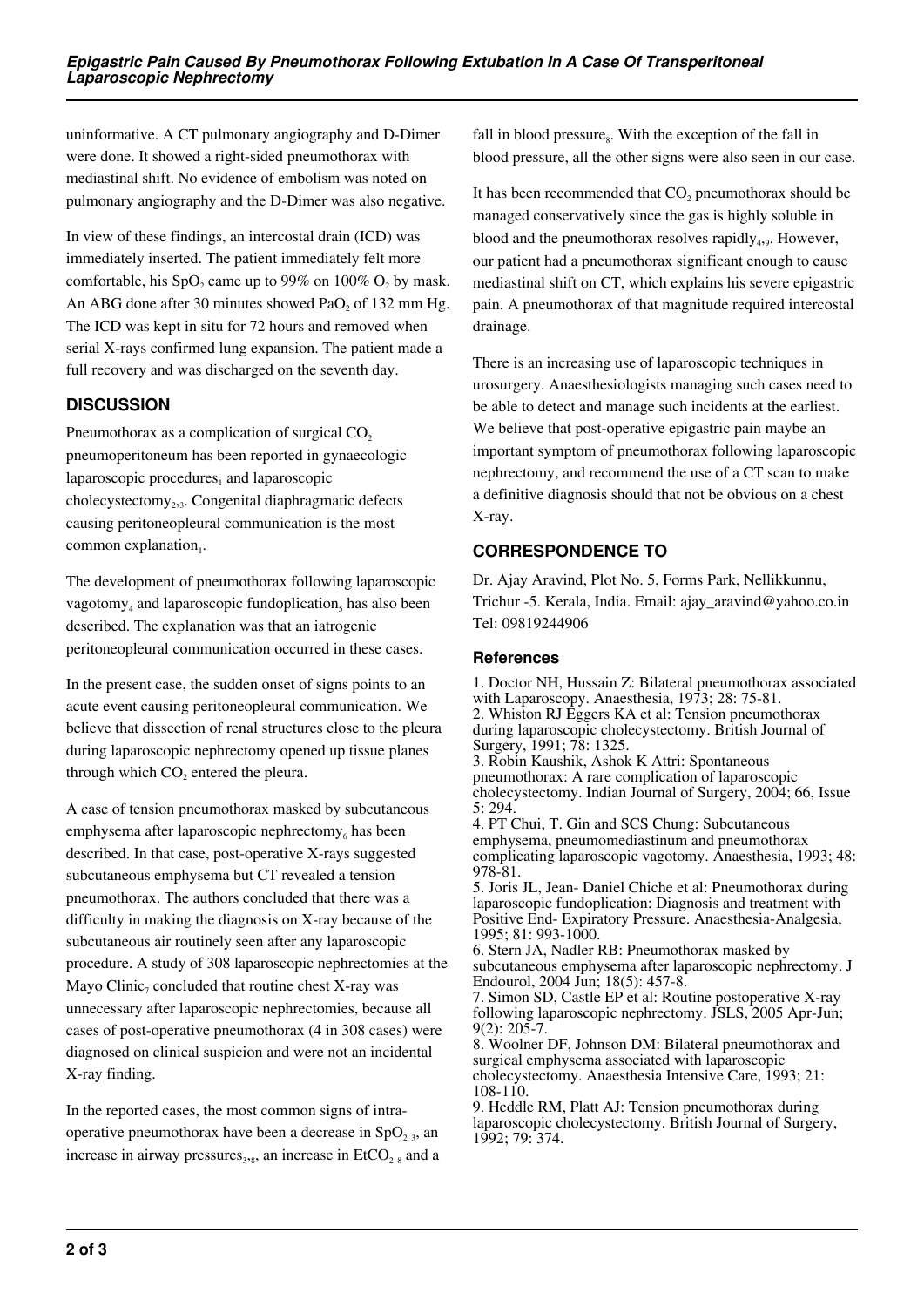uninformative. A CT pulmonary angiography and D-Dimer were done. It showed a right-sided pneumothorax with mediastinal shift. No evidence of embolism was noted on pulmonary angiography and the D-Dimer was also negative.

In view of these findings, an intercostal drain (ICD) was immediately inserted. The patient immediately felt more comfortable, his  $SpO<sub>2</sub>$  came up to 99% on 100%  $O<sub>2</sub>$  by mask. An ABG done after 30 minutes showed  $PaO<sub>2</sub>$  of 132 mm Hg. The ICD was kept in situ for 72 hours and removed when serial X-rays confirmed lung expansion. The patient made a full recovery and was discharged on the seventh day.

## **DISCUSSION**

Pneumothorax as a complication of surgical  $CO<sub>2</sub>$ pneumoperitoneum has been reported in gynaecologic laparoscopic procedures $_1$  and laparoscopic cholecystectomy<sub>2,3</sub>. Congenital diaphragmatic defects causing peritoneopleural communication is the most common explanation.

The development of pneumothorax following laparoscopic vagotomy<sub>4</sub> and laparoscopic fundoplication<sub>5</sub> has also been described. The explanation was that an iatrogenic peritoneopleural communication occurred in these cases.

In the present case, the sudden onset of signs points to an acute event causing peritoneopleural communication. We believe that dissection of renal structures close to the pleura during laparoscopic nephrectomy opened up tissue planes through which  $CO<sub>2</sub>$  entered the pleura.

A case of tension pneumothorax masked by subcutaneous emphysema after laparoscopic nephrectomy<sub>6</sub> has been described. In that case, post-operative X-rays suggested subcutaneous emphysema but CT revealed a tension pneumothorax. The authors concluded that there was a difficulty in making the diagnosis on X-ray because of the subcutaneous air routinely seen after any laparoscopic procedure. A study of 308 laparoscopic nephrectomies at the Mayo Clinic, concluded that routine chest X-ray was unnecessary after laparoscopic nephrectomies, because all cases of post-operative pneumothorax (4 in 308 cases) were diagnosed on clinical suspicion and were not an incidental X-ray finding.

In the reported cases, the most common signs of intraoperative pneumothorax have been a decrease in  $SpO<sub>2,3</sub>$ , and increase in airway pressures<sub>3,8</sub>, an increase in EtCO<sub>28</sub> and a

fall in blood pressure<sub>8</sub>. With the exception of the fall in blood pressure, all the other signs were also seen in our case.

It has been recommended that CO<sub>2</sub> pneumothorax should be managed conservatively since the gas is highly soluble in blood and the pneumothorax resolves rapidly<sub>4,9</sub>. However, our patient had a pneumothorax significant enough to cause mediastinal shift on CT, which explains his severe epigastric pain. A pneumothorax of that magnitude required intercostal drainage.

There is an increasing use of laparoscopic techniques in urosurgery. Anaesthesiologists managing such cases need to be able to detect and manage such incidents at the earliest. We believe that post-operative epigastric pain maybe an important symptom of pneumothorax following laparoscopic nephrectomy, and recommend the use of a CT scan to make a definitive diagnosis should that not be obvious on a chest X-ray.

# **CORRESPONDENCE TO**

Dr. Ajay Aravind, Plot No. 5, Forms Park, Nellikkunnu, Trichur -5. Kerala, India. Email: ajay\_aravind@yahoo.co.in Tel: 09819244906

#### **References**

1. Doctor NH, Hussain Z: Bilateral pneumothorax associated with Laparoscopy. Anaesthesia, 1973; 28: 75-81. 2. Whiston RJ Eggers KA et al: Tension pneumothorax during laparoscopic cholecystectomy. British Journal of Surgery, 1991; 78: 1325. 3. Robin Kaushik, Ashok K Attri: Spontaneous

pneumothorax: A rare complication of laparoscopic cholecystectomy. Indian Journal of Surgery, 2004; 66, Issue 5: 294.

4. PT Chui, T. Gin and SCS Chung: Subcutaneous emphysema, pneumomediastinum and pneumothorax complicating laparoscopic vagotomy. Anaesthesia, 1993; 48: 978-81.

5. Joris JL, Jean- Daniel Chiche et al: Pneumothorax during laparoscopic fundoplication: Diagnosis and treatment with Positive End- Expiratory Pressure. Anaesthesia-Analgesia, 1995; 81: 993-1000.

6. Stern JA, Nadler RB: Pneumothorax masked by subcutaneous emphysema after laparoscopic nephrectomy. J Endourol, 2004 Jun; 18(5): 457-8.

7. Simon SD, Castle EP et al: Routine postoperative X-ray following laparoscopic nephrectomy. JSLS, 2005 Apr-Jun;  $9(2): 205 - 7$ .

8. Woolner DF, Johnson DM: Bilateral pneumothorax and surgical emphysema associated with laparoscopic cholecystectomy. Anaesthesia Intensive Care, 1993; 21: 108-110.

9. Heddle RM, Platt AJ: Tension pneumothorax during laparoscopic cholecystectomy. British Journal of Surgery, 1992; 79: 374.